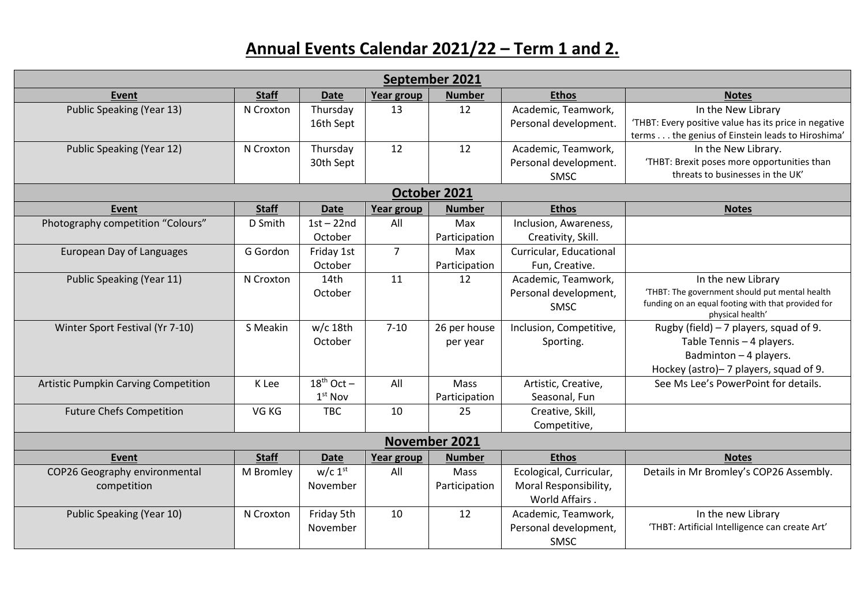## **Annual Events Calendar 2021/22 – Term 1 and 2.**

| September 2021                       |              |                 |                |               |                         |                                                                                                      |  |  |  |  |  |
|--------------------------------------|--------------|-----------------|----------------|---------------|-------------------------|------------------------------------------------------------------------------------------------------|--|--|--|--|--|
| <b>Event</b>                         | <b>Staff</b> | <b>Date</b>     | Year group     | <b>Number</b> | <b>Ethos</b>            | <b>Notes</b>                                                                                         |  |  |  |  |  |
| <b>Public Speaking (Year 13)</b>     | N Croxton    | Thursday        | 13             | 12            | Academic, Teamwork,     | In the New Library                                                                                   |  |  |  |  |  |
|                                      |              | 16th Sept       |                |               | Personal development.   | 'THBT: Every positive value has its price in negative                                                |  |  |  |  |  |
|                                      |              |                 |                |               |                         | terms the genius of Einstein leads to Hiroshima'                                                     |  |  |  |  |  |
| Public Speaking (Year 12)            | N Croxton    | Thursday        | 12             | 12            | Academic, Teamwork,     | In the New Library.                                                                                  |  |  |  |  |  |
|                                      |              | 30th Sept       |                |               | Personal development.   | 'THBT: Brexit poses more opportunities than<br>threats to businesses in the UK'                      |  |  |  |  |  |
|                                      |              |                 |                |               | SMSC                    |                                                                                                      |  |  |  |  |  |
| October 2021                         |              |                 |                |               |                         |                                                                                                      |  |  |  |  |  |
| Event                                | <b>Staff</b> | <b>Date</b>     | Year group     | <b>Number</b> | <b>Ethos</b>            | <b>Notes</b>                                                                                         |  |  |  |  |  |
| Photography competition "Colours"    | D Smith      | $1st - 22nd$    | All            | Max           | Inclusion, Awareness,   |                                                                                                      |  |  |  |  |  |
|                                      |              | October         |                | Participation | Creativity, Skill.      |                                                                                                      |  |  |  |  |  |
| European Day of Languages            | G Gordon     | Friday 1st      | $\overline{7}$ | Max           | Curricular, Educational |                                                                                                      |  |  |  |  |  |
|                                      |              | October         |                | Participation | Fun, Creative.          |                                                                                                      |  |  |  |  |  |
| Public Speaking (Year 11)            | N Croxton    | 14th            | 11             | 12            | Academic, Teamwork,     | In the new Library                                                                                   |  |  |  |  |  |
|                                      |              | October         |                |               | Personal development,   | 'THBT: The government should put mental health<br>funding on an equal footing with that provided for |  |  |  |  |  |
|                                      |              |                 |                |               | SMSC                    | physical health'                                                                                     |  |  |  |  |  |
| Winter Sport Festival (Yr 7-10)      | S Meakin     | $w/c$ 18th      | $7 - 10$       | 26 per house  | Inclusion, Competitive, | Rugby (field) $-7$ players, squad of 9.                                                              |  |  |  |  |  |
|                                      |              | October         |                | per year      | Sporting.               | Table Tennis - 4 players.                                                                            |  |  |  |  |  |
|                                      |              |                 |                |               |                         | Badminton $-4$ players.                                                                              |  |  |  |  |  |
|                                      |              |                 |                |               |                         | Hockey (astro)-7 players, squad of 9.                                                                |  |  |  |  |  |
| Artistic Pumpkin Carving Competition | K Lee        | $18^{th}$ Oct - | All            | Mass          | Artistic, Creative,     | See Ms Lee's PowerPoint for details.                                                                 |  |  |  |  |  |
|                                      |              | $1st$ Nov       |                | Participation | Seasonal, Fun           |                                                                                                      |  |  |  |  |  |
| <b>Future Chefs Competition</b>      | VG KG        | <b>TBC</b>      | 10             | 25            | Creative, Skill,        |                                                                                                      |  |  |  |  |  |
|                                      |              |                 |                |               | Competitive,            |                                                                                                      |  |  |  |  |  |
| November 2021                        |              |                 |                |               |                         |                                                                                                      |  |  |  |  |  |
| <b>Event</b>                         | <b>Staff</b> | <b>Date</b>     | Year group     | <b>Number</b> | <b>Ethos</b>            | <b>Notes</b>                                                                                         |  |  |  |  |  |
| COP26 Geography environmental        | M Bromley    | $w/c$ 1st       | All            | Mass          | Ecological, Curricular, | Details in Mr Bromley's COP26 Assembly.                                                              |  |  |  |  |  |
| competition                          |              | November        |                | Participation | Moral Responsibility,   |                                                                                                      |  |  |  |  |  |
|                                      |              |                 |                |               | World Affairs.          |                                                                                                      |  |  |  |  |  |
| Public Speaking (Year 10)            | N Croxton    | Friday 5th      | 10             | 12            | Academic, Teamwork,     | In the new Library                                                                                   |  |  |  |  |  |
|                                      |              | November        |                |               | Personal development,   | 'THBT: Artificial Intelligence can create Art'                                                       |  |  |  |  |  |
|                                      |              |                 |                |               | SMSC                    |                                                                                                      |  |  |  |  |  |